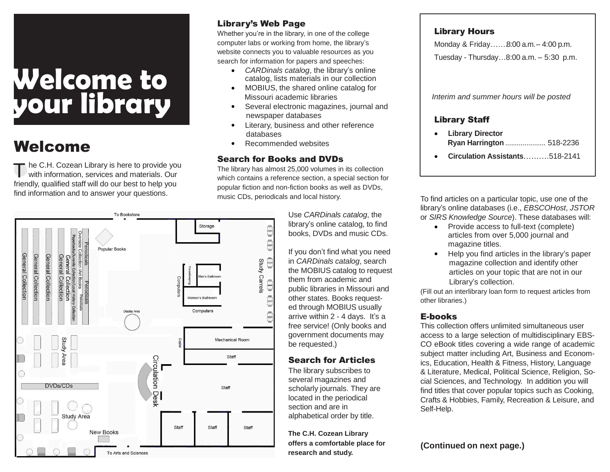# **Welcome to your library**

## Welcome

T he C.H. Cozean Library is here to provide you with information, services and materials. Our friendly, qualified staff will do our best to help you find information and to answer your questions.

#### Library's Web Page

Whether you're in the library, in one of the college computer labs or working from home, the library's website connects you to valuable resources as you search for information for papers and speeches:

- *CARDinals catalog*, the library's online catalog, lists materials in our collection
- MOBIUS, the shared online catalog for Missouri academic libraries
- Several electronic magazines, journal and newspaper databases
- Literary, business and other reference databases
- Recommended websites

#### Search for Books and DVDs

The library has almost 25,000 volumes in its collection which contains a reference section, a special section for popular fiction and non-fiction books as well as DVDs, music CDs, periodicals and local history.

> Use *CARDinals catalog*, the library's online catalog, to find books, DVDs and music CDs.

If you don't find what you need in *CARDinals catalog*, search the MOBIUS catalog to request them from academic and public libraries in Missouri and other states. Books requested through MOBIUS usually arrive within 2 - 4 days. It's a free service! (Only books and government documents may be requested.)

#### Search for Articles

The library subscribes to several magazines and scholarly journals. They are located in the periodical section and are in alphabetical order by title.

**The C.H. Cozean Library offers a comfortable place for** 

#### Library Hours

Monday & Friday…….8:00 a.m.– 4:00 p.m.

Tuesday - Thursday…8:00 a.m. – 5:30 p.m.

*Interim and summer hours will be posted*

#### Library Staff

- **Library Director Ryan Harrington** ..................... 518-2236
- **Circulation Assistants**……….518-2141

To find articles on a particular topic, use one of the library's online databases (i.e., *EBSCOHost*, *JSTOR*  or *SIRS Knowledge Source*). These databases will:

- Provide access to full-text (complete) articles from over 5,000 journal and magazine titles.
- Help you find articles in the library's paper magazine collection and identify other articles on your topic that are not in our Library's collection.

(Fill out an interlibrary loan form to request articles from other libraries.)

#### E-books

This collection offers unlimited simultaneous user access to a large selection of multidisciplinary EBS-CO eBook titles covering a wide range of academic subject matter including Art, Business and Economics, Education, Health & Fitness, History, Language & Literature, Medical, Political Science, Religion, Social Sciences, and Technology. In addition you will find titles that cover popular topics such as Cooking, Crafts & Hobbies, Family, Recreation & Leisure, and Self-Help.

**(Continued on next page.)**